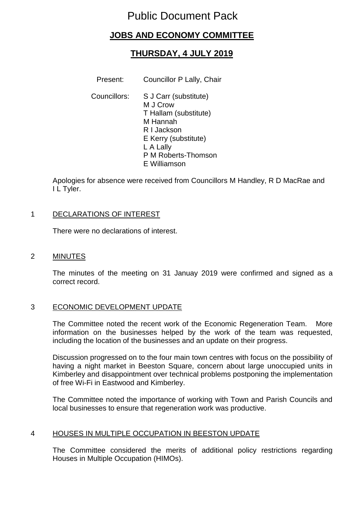# Public Document Pack

## **JOBS AND ECONOMY COMMITTEE**

# **THURSDAY, 4 JULY 2019**

Present: Councillor P Lally, Chair

Councillors: S J Carr (substitute) M J Crow T Hallam (substitute) M Hannah R I Jackson E Kerry (substitute) L A Lally P M Roberts-Thomson E Williamson

Apologies for absence were received from Councillors M Handley, R D MacRae and I L Tyler.

### 1 DECLARATIONS OF INTEREST

There were no declarations of interest.

2 MINUTES

The minutes of the meeting on 31 Januay 2019 were confirmed and signed as a correct record.

### 3 ECONOMIC DEVELOPMENT UPDATE

The Committee noted the recent work of the Economic Regeneration Team. More information on the businesses helped by the work of the team was requested, including the location of the businesses and an update on their progress.

Discussion progressed on to the four main town centres with focus on the possibility of having a night market in Beeston Square, concern about large unoccupied units in Kimberley and disappointment over technical problems postponing the implementation of free Wi-Fi in Eastwood and Kimberley.

The Committee noted the importance of working with Town and Parish Councils and local businesses to ensure that regeneration work was productive.

### 4 HOUSES IN MULTIPLE OCCUPATION IN BEESTON UPDATE

The Committee considered the merits of additional policy restrictions regarding Houses in Multiple Occupation (HIMOs).